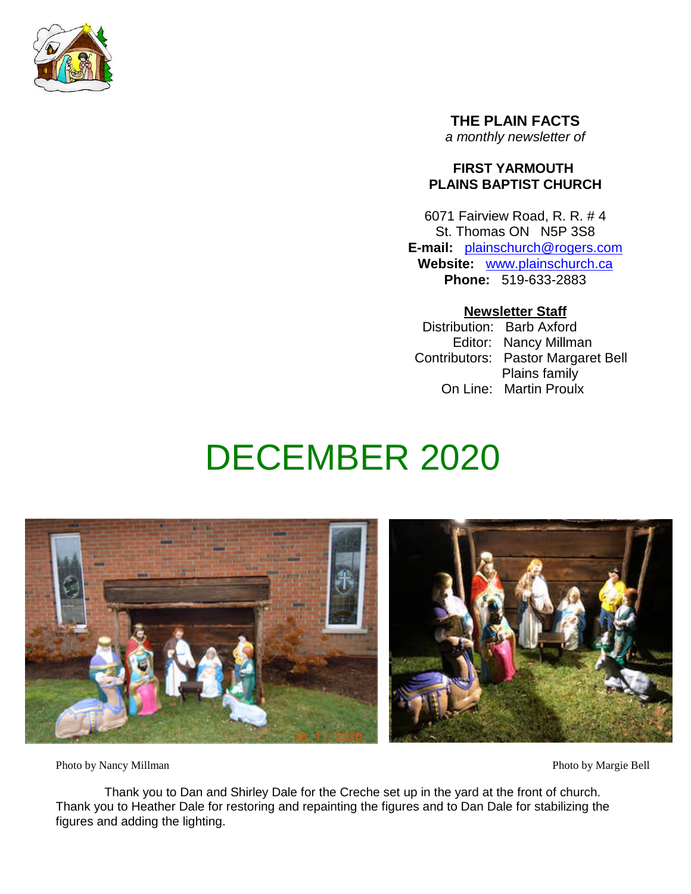

**THE PLAIN FACTS** *a monthly newsletter of*

# **FIRST YARMOUTH PLAINS BAPTIST CHURCH**

6071 Fairview Road, R. R. # 4 St. Thomas ON N5P 3S8 **E-mail:** plainschurch@rogers.com **Website:** www.plainschurch.ca **Phone:** 519-633-2883

# **Newsletter Staff**

Distribution: Barb Axford Editor: Nancy Millman Contributors: Pastor Margaret Bell Plains family On Line: Martin Proulx

# DECEMBER 2020



Photo by Nancy Millman Photo by Margie Bell

Thank you to Dan and Shirley Dale for the Creche set up in the yard at the front of church. Thank you to Heather Dale for restoring and repainting the figures and to Dan Dale for stabilizing the figures and adding the lighting.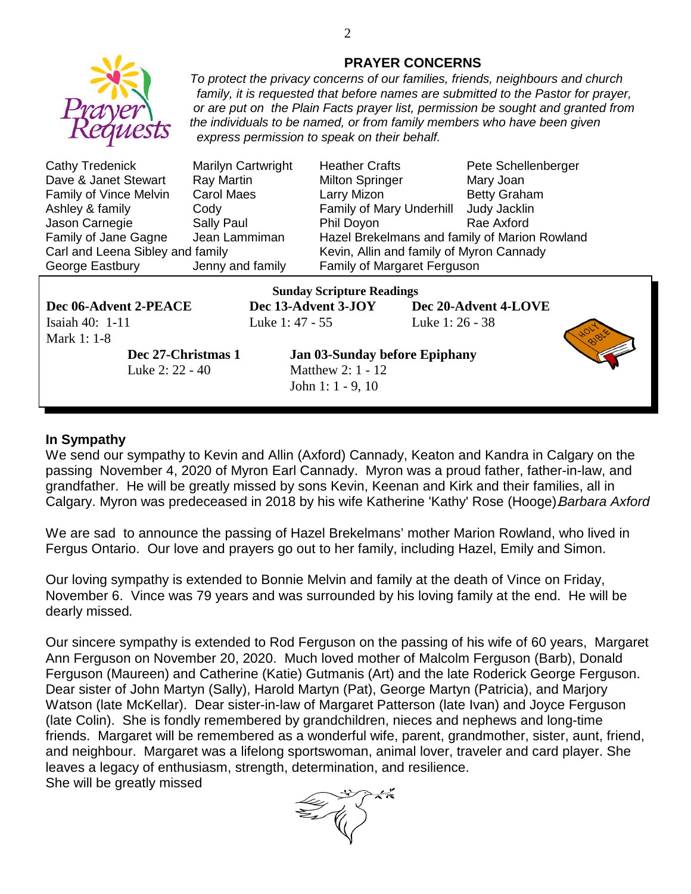

## **PRAYER CONCERNS**

*To protect the privacy concerns of our families, friends, neighbours and church family, it is requested that before names are submitted to the Pastor for prayer, or are put on the Plain Facts prayer list, permission be sought and granted from the individuals to be named, or from family members who have been given express permission to speak on their behalf.*

| Marilyn Cartwrigh                |
|----------------------------------|
| <b>Ray Martin</b>                |
| <b>Carol Maes</b>                |
| Cody                             |
| Sally Paul                       |
| Jean Lammiman                    |
| Carl and Leena Sibley and family |
| Jenny and family                 |
|                                  |

t Heather Crafts Pete Schellenberger Milton Springer Mary Joan Larry Mizon Betty Graham Family of Mary Underhill Judy Jacklin Phil Doyon Rae Axford Hazel Brekelmans and family of Marion Rowland Kevin, Allin and family of Myron Cannady Family of Margaret Ferguson

**Dec 06-Advent 2-PEACE Dec 13-Advent 3-JOY Dec 20-Advent 4-LOVE** Isaiah 40: 1-11 Luke 1: 47 - 55 Luke 1: 26 - 38 Mark 1: 1-8

**Sunday Scripture Readings**

Luke 2: 22 - 40 **Matthew 2: 1 - 12** 

**Dec 27-Christmas 1 Jan 03-Sunday before Epiphany** John 1: 1 - 9, 10



## **In Sympathy**

We send our sympathy to Kevin and Allin (Axford) Cannady, Keaton and Kandra in Calgary on the passing November 4, 2020 of Myron Earl Cannady. Myron was a proud father, father-in-law, and grandfather. He will be greatly missed by sons Kevin, Keenan and Kirk and their families, all in Calgary. Myron was predeceased in 2018 by his wife Katherine 'Kathy' Rose (Hooge).*Barbara Axford*

We are sad to announce the passing of Hazel Brekelmans' mother Marion Rowland, who lived in Fergus Ontario. Our love and prayers go out to her family, including Hazel, Emily and Simon.

Our loving sympathy is extended to Bonnie Melvin and family at the death of Vince on Friday, November 6. Vince was 79 years and was surrounded by his loving family at the end. He will be dearly missed*.*

Our sincere sympathy is extended to Rod Ferguson on the passing of his wife of 60 years, Margaret Ann Ferguson on November 20, 2020. Much loved mother of Malcolm Ferguson (Barb), Donald Ferguson (Maureen) and Catherine (Katie) Gutmanis (Art) and the late Roderick George Ferguson. Dear sister of John Martyn (Sally), Harold Martyn (Pat), George Martyn (Patricia), and Marjory Watson (late McKellar). Dear sister-in-law of Margaret Patterson (late Ivan) and Joyce Ferguson (late Colin). She is fondly remembered by grandchildren, nieces and nephews and long-time friends. Margaret will be remembered as a wonderful wife, parent, grandmother, sister, aunt, friend, and neighbour. Margaret was a lifelong sportswoman, animal lover, traveler and card player. She leaves a legacy of enthusiasm, strength, determination, and resilience. She will be greatly missed

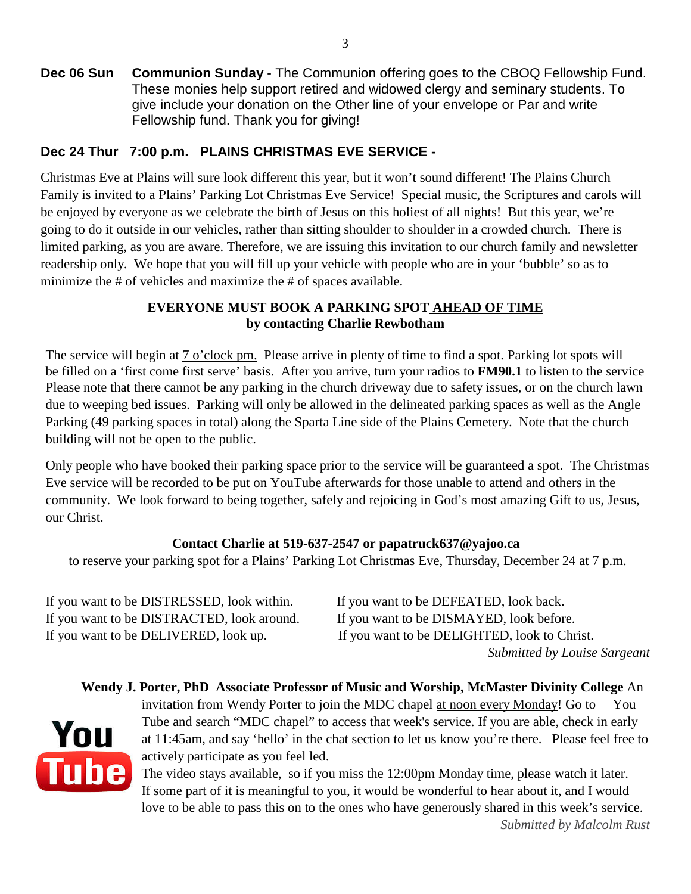**Dec 06 Sun Communion Sunday** - The Communion offering goes to the CBOQ Fellowship Fund. These monies help support retired and widowed clergy and seminary students. To give include your donation on the Other line of your envelope or Par and write Fellowship fund. Thank you for giving!

# **Dec 24 Thur 7:00 p.m. PLAINS CHRISTMAS EVE SERVICE -**

Christmas Eve at Plains will sure look different this year, but it won't sound different! The Plains Church Family is invited to a Plains' Parking Lot Christmas Eve Service! Special music, the Scriptures and carols will be enjoyed by everyone as we celebrate the birth of Jesus on this holiest of all nights! But this year, we're going to do it outside in our vehicles, rather than sitting shoulder to shoulder in a crowded church. There is limited parking, as you are aware. Therefore, we are issuing this invitation to our church family and newsletter readership only. We hope that you will fill up your vehicle with people who are in your 'bubble' so as to minimize the # of vehicles and maximize the # of spaces available.

# **EVERYONE MUST BOOK A PARKING SPOT AHEAD OF TIME by contacting Charlie Rewbotham**

The service will begin at 7 o'clock pm. Please arrive in plenty of time to find a spot. Parking lot spots will be filled on a 'first come first serve' basis. After you arrive, turn your radios to **FM90.1** to listen to the service Please note that there cannot be any parking in the church driveway due to safety issues, or on the church lawn due to weeping bed issues. Parking will only be allowed in the delineated parking spaces as well as the Angle Parking (49 parking spaces in total) along the Sparta Line side of the Plains Cemetery. Note that the church building will not be open to the public.

Only people who have booked their parking space prior to the service will be guaranteed a spot. The Christmas Eve service will be recorded to be put on YouTube afterwards for those unable to attend and others in the community. We look forward to being together, safely and rejoicing in God's most amazing Gift to us, Jesus, our Christ.

# **Contact Charlie at 519-637-2547 or papatruck637@yajoo.ca**

to reserve your parking spot for a Plains' Parking Lot Christmas Eve, Thursday, December 24 at 7 p.m.

If you want to be DISTRESSED, look within. If you want to be DEFEATED, look back. If you want to be DISTRACTED, look around. If you want to be DISMAYED, look before. If you want to be DELIVERED, look up. If you want to be DELIGHTED, look to Christ.

*Submitted by Louise Sargeant*

# **Wendy J. Porter, PhD Associate Professor of Music and Worship, McMaster Divinity College** An



invitation from Wendy Porter to join the MDC chapel at noon every Monday! Go to You Tube and search "MDC chapel" to access that week's service. If you are able, check in early at 11:45am, and say 'hello' in the chat section to let us know you're there. Please feel free to actively participate as you feel led.

The video stays available, so if you miss the 12:00pm Monday time, please watch it later. If some part of it is meaningful to you, it would be wonderful to hear about it, and I would love to be able to pass this on to the ones who have generously shared in this week's service. *Submitted by Malcolm Rust*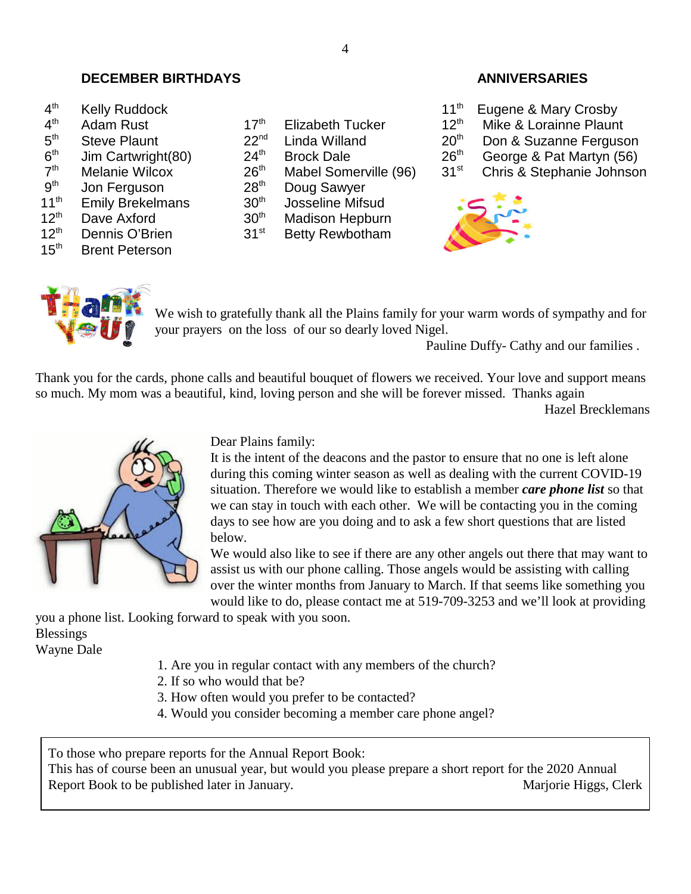# **DECEMBER BIRTHDAYS ANNIVERSARIES**

| 4 <sup>th</sup> | <b>Kelly Ruddock</b> |
|-----------------|----------------------|
|-----------------|----------------------|

- $4<sup>th</sup>$
- $5<sup>th</sup>$
- $6<sup>th</sup>$
- $7<sup>th</sup>$
- $9<sup>th</sup>$ <br>11<sup>th</sup>
- 
- $12<sup>th</sup>$  Dave Axford  $30<sup>th</sup>$  Madison Hepburn
- 
- **Brent Peterson**
- Adam Rust  $17<sup>th</sup>$  Elizabeth Tucker  $12<sup>th</sup>$  Mike & Lorainne Plaunt Steve Plaunt 22<sup>nd</sup> Linda Willand  $20<sup>th</sup>$  Don & Suzanne Fergusc
	-
	-
	-
- Jon Ferguson 28<sup>th</sup> Doug Sawyer
- Emily Brekelmans  $10^{th}$  Josseline Mifsud<br>Dave Axford  $30^{th}$  Madison Hepburr
	-
- 12<sup>th</sup> Dennis O'Brien 31<sup>st</sup> Betty Rewbotham<br>15<sup>th</sup> Brent Peterson

- 11<sup>th</sup> Eugene & Mary Crosby<br>17<sup>th</sup> Elizabeth Tucker 12<sup>th</sup> Mike & Lorainne Plaun
	-
- Steve Plaunt 22<sup>nd</sup> Linda Willand 20<sup>th</sup> Don & Suzanne Ferguson<br>Jim Cartwright(80) 24<sup>th</sup> Brock Dale 26<sup>th</sup> George & Pat Martyn (56)
- Jim Cartwright(80) 24<sup>th</sup> Brock Dale 26<sup>th</sup> George & Pat Martyn (56)<br>Melanie Wilcox 26<sup>th</sup> Mabel Somerville (96) 31<sup>st</sup> Chris & Stephanie Johnsor
- Melanie Wilcox  $26<sup>th</sup>$  Mabel Somerville (96)  $31<sup>st</sup>$  Chris & Stephanie Johnson





We wish to gratefully thank all the Plains family for your warm words of sympathy and for your prayers on the loss of our so dearly loved Nigel.

Pauline Duffy- Cathy and our families .

Thank you for the cards, phone calls and beautiful bouquet of flowers we received. Your love and support means so much. My mom was a beautiful, kind, loving person and she will be forever missed. Thanks again

Hazel Brecklemans



Dear Plains family:

It is the intent of the deacons and the pastor to ensure that no one is left alone during this coming winter season as well as dealing with the current COVID-19 situation. Therefore we would like to establish a member *care phone list* so that we can stay in touch with each other. We will be contacting you in the coming days to see how are you doing and to ask a few short questions that are listed below.

We would also like to see if there are any other angels out there that may want to assist us with our phone calling. Those angels would be assisting with calling over the winter months from January to March. If that seems like something you would like to do, please contact me at 519-709-3253 and we'll look at providing

you a phone list. Looking forward to speak with you soon. Blessings Wayne Dale

1. Are you in regular contact with any members of the church?

- 2. If so who would that be?
- 3. How often would you prefer to be contacted?
- 4. Would you consider becoming a member care phone angel?

To those who prepare reports for the Annual Report Book:

This has of course been an unusual year, but would you please prepare a short report for the 2020 Annual Report Book to be published later in January. Marjorie Higgs, Clerk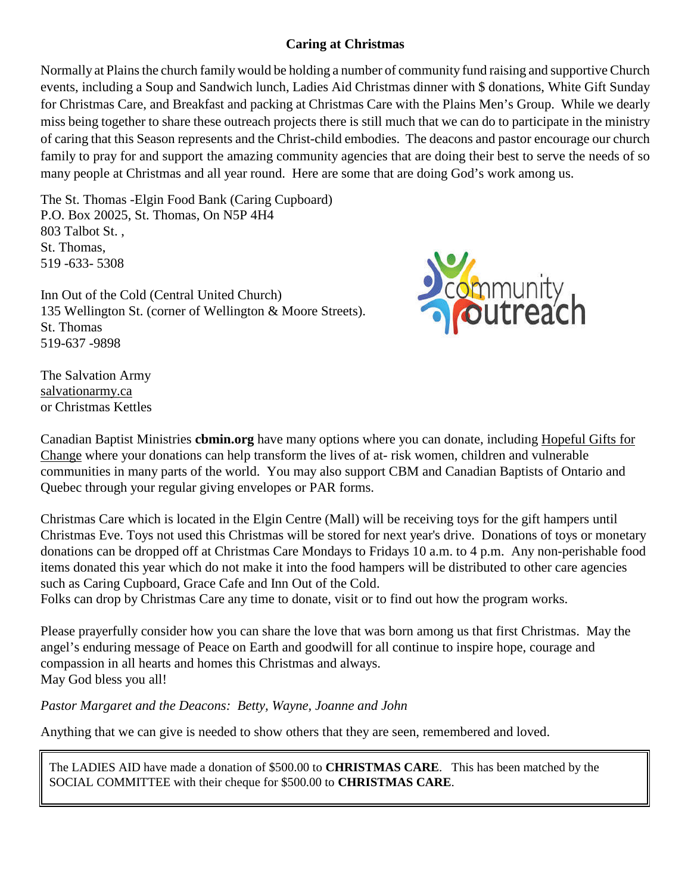# **Caring at Christmas**

Normally at Plains the church family would be holding a number of community fund raising and supportive Church events, including a Soup and Sandwich lunch, Ladies Aid Christmas dinner with \$ donations, White Gift Sunday for Christmas Care, and Breakfast and packing at Christmas Care with the Plains Men's Group. While we dearly miss being together to share these outreach projects there is still much that we can do to participate in the ministry of caring that this Season represents and the Christ-child embodies. The deacons and pastor encourage our church family to pray for and support the amazing community agencies that are doing their best to serve the needs of so many people at Christmas and all year round. Here are some that are doing God's work among us.

The St. Thomas -Elgin Food Bank (Caring Cupboard) P.O. Box 20025, St. Thomas, On N5P 4H4 803 Talbot St. , St. Thomas, 519 -633- 5308

Inn Out of the Cold (Central United Church) 135 Wellington St. (corner of Wellington & Moore Streets). St. Thomas 519-637 -9898



The Salvation Army salvationarmy.ca or Christmas Kettles

Canadian Baptist Ministries **cbmin.org** have many options where you can donate, including Hopeful Gifts for Change where your donations can help transform the lives of at- risk women, children and vulnerable communities in many parts of the world. You may also support CBM and Canadian Baptists of Ontario and Quebec through your regular giving envelopes or PAR forms.

Christmas Care which is located in the Elgin Centre (Mall) will be receiving toys for the gift hampers until Christmas Eve. Toys not used this Christmas will be stored for next year's drive. Donations of toys or monetary donations can be dropped off at Christmas Care Mondays to Fridays 10 a.m. to 4 p.m. Any non-perishable food items donated this year which do not make it into the food hampers will be distributed to other care agencies such as Caring Cupboard, Grace Cafe and Inn Out of the Cold.

Folks can drop by Christmas Care any time to donate, visit or to find out how the program works.

Please prayerfully consider how you can share the love that was born among us that first Christmas. May the angel's enduring message of Peace on Earth and goodwill for all continue to inspire hope, courage and compassion in all hearts and homes this Christmas and always. May God bless you all!

*Pastor Margaret and the Deacons: Betty, Wayne, Joanne and John*

Anything that we can give is needed to show others that they are seen, remembered and loved.

The LADIES AID have made a donation of \$500.00 to **CHRISTMAS CARE**. This has been matched by the SOCIAL COMMITTEE with their cheque for \$500.00 to **CHRISTMAS CARE**.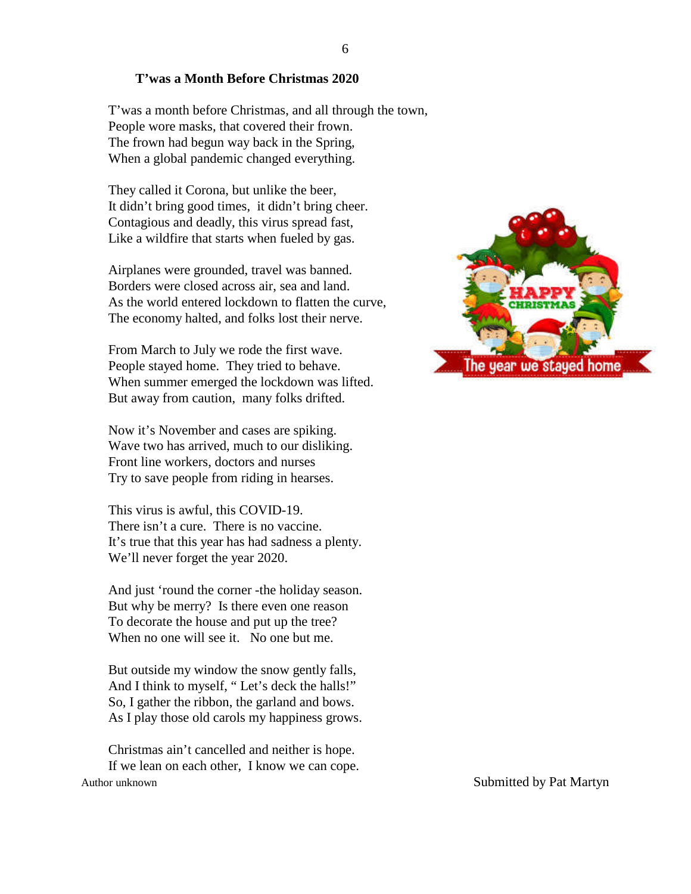### **T'was a Month Before Christmas 2020**

T'was a month before Christmas, and all through the town, People wore masks, that covered their frown. The frown had begun way back in the Spring, When a global pandemic changed everything.

They called it Corona, but unlike the beer, It didn't bring good times, it didn't bring cheer. Contagious and deadly, this virus spread fast, Like a wildfire that starts when fueled by gas.

Airplanes were grounded, travel was banned. Borders were closed across air, sea and land. As the world entered lockdown to flatten the curve, The economy halted, and folks lost their nerve.

From March to July we rode the first wave. People stayed home. They tried to behave. When summer emerged the lockdown was lifted. But away from caution, many folks drifted.

Now it's November and cases are spiking. Wave two has arrived, much to our disliking. Front line workers, doctors and nurses Try to save people from riding in hearses.

This virus is awful, this COVID-19. There isn't a cure. There is no vaccine. It's true that this year has had sadness a plenty. We'll never forget the year 2020.

And just 'round the corner -the holiday season. But why be merry? Is there even one reason To decorate the house and put up the tree? When no one will see it. No one but me.

But outside my window the snow gently falls, And I think to myself, " Let's deck the halls!" So, I gather the ribbon, the garland and bows. As I play those old carols my happiness grows.

Christmas ain't cancelled and neither is hope. If we lean on each other, I know we can cope. Author unknown Submitted by Pat Martyn

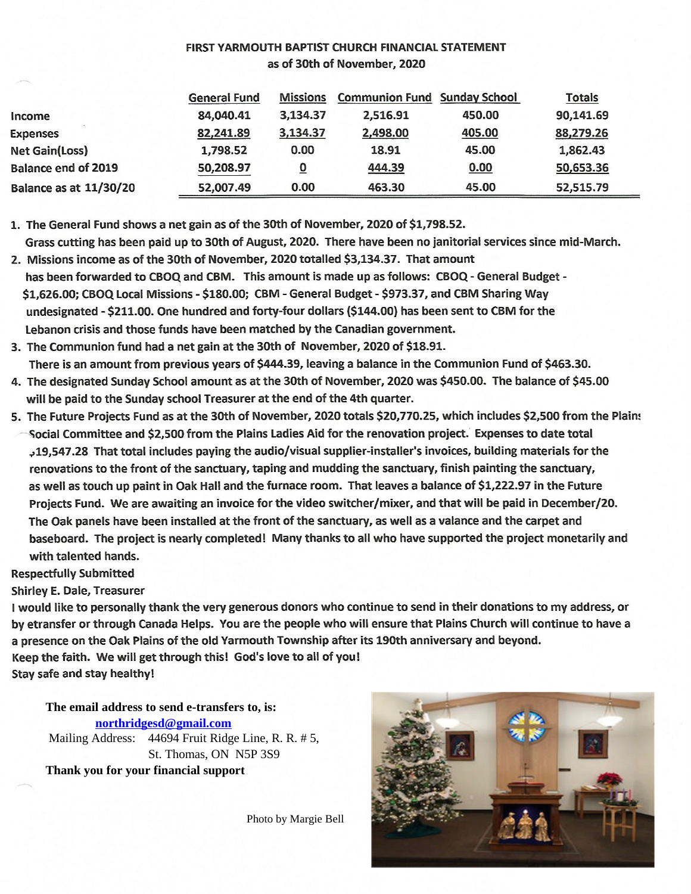## FIRST YARMOUTH BAPTIST CHURCH FINANCIAL STATEMENT as of 30th of November, 2020

|                               | <b>General Fund</b> | Missions | <b>Communion Fund Sunday School</b> |        | <b>Totals</b> |  |
|-------------------------------|---------------------|----------|-------------------------------------|--------|---------------|--|
| Income                        | 84,040.41           | 3,134.37 | 2,516.91                            | 450.00 | 90,141.69     |  |
| <b>Expenses</b>               | 82,241.89           | 3,134.37 | 2,498.00                            | 405.00 | 88,279.26     |  |
| <b>Net Gain(Loss)</b>         | 1,798.52            | 0.00     | 18.91                               | 45.00  | 1,862.43      |  |
| <b>Balance end of 2019</b>    | 50,208.97           | 0        | 444.39                              | 0.00   | 50,653.36     |  |
| <b>Balance as at 11/30/20</b> | 52,007.49           | 0.00     | 463.30                              | 45.00  | 52,515.79     |  |

1. The General Fund shows a net gain as of the 30th of November, 2020 of \$1,798.52.

Grass cutting has been paid up to 30th of August, 2020. There have been no janitorial services since mid-March. 2. Missions income as of the 30th of November, 2020 totalled \$3,134.37. That amount

has been forwarded to CBOQ and CBM. This amount is made up as follows: CBOQ - General Budget -\$1,626.00; CBOQ Local Missions - \$180.00; CBM - General Budget - \$973.37, and CBM Sharing Way undesignated - \$211.00. One hundred and forty-four dollars (\$144.00) has been sent to CBM for the Lebanon crisis and those funds have been matched by the Canadian government.

- 3. The Communion fund had a net gain at the 30th of November, 2020 of \$18.91. There is an amount from previous years of \$444.39, leaving a balance in the Communion Fund of \$463.30.
- 4. The designated Sunday School amount as at the 30th of November, 2020 was \$450.00. The balance of \$45.00 will be paid to the Sunday school Treasurer at the end of the 4th quarter.
- 5. The Future Projects Fund as at the 30th of November, 2020 totals \$20,770.25, which includes \$2,500 from the Plains Social Committee and \$2,500 from the Plains Ladies Aid for the renovation project. Expenses to date total ,19,547.28 That total includes paying the audio/visual supplier-installer's invoices, building materials for the renovations to the front of the sanctuary, taping and mudding the sanctuary, finish painting the sanctuary, as well as touch up paint in Oak Hall and the furnace room. That leaves a balance of \$1,222.97 in the Future Projects Fund. We are awaiting an invoice for the video switcher/mixer, and that will be paid in December/20. The Oak panels have been installed at the front of the sanctuary, as well as a valance and the carpet and baseboard. The project is nearly completed! Many thanks to all who have supported the project monetarily and with talented hands.

**Respectfully Submitted** 

**Shirley E. Dale, Treasurer** 

I would like to personally thank the very generous donors who continue to send in their donations to my address, or by etransfer or through Canada Helps. You are the people who will ensure that Plains Church will continue to have a a presence on the Oak Plains of the old Yarmouth Township after its 190th anniversary and beyond. Keep the faith. We will get through this! God's love to all of you! Stay safe and stay healthy!

**The email address to send e-transfers to, is: northridgesd@gmail.com** Mailing Address: 44694 Fruit Ridge Line, R. R. # 5, St. Thomas, ON N5P 3S9

**Thank you for your financial support**

Photo by Margie Bell

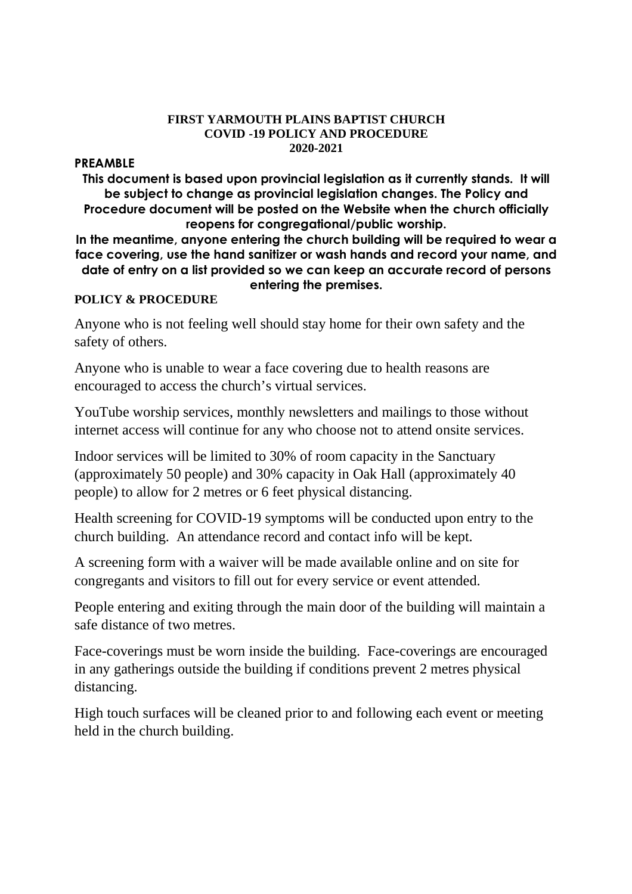### **FIRST YARMOUTH PLAINS BAPTIST CHURCH COVID -19 POLICY AND PROCEDURE 2020-2021**

## **PREAMBLE**

**This document is based upon provincial legislation as it currently stands. It will be subject to change as provincial legislation changes. The Policy and Procedure document will be posted on the Website when the church officially reopens for congregational/public worship.**

**In the meantime, anyone entering the church building will be required to wear a face covering, use the hand sanitizer or wash hands and record your name, and date of entry on a list provided so we can keep an accurate record of persons entering the premises.**

# **POLICY & PROCEDURE**

Anyone who is not feeling well should stay home for their own safety and the safety of others.

Anyone who is unable to wear a face covering due to health reasons are encouraged to access the church's virtual services.

YouTube worship services, monthly newsletters and mailings to those without internet access will continue for any who choose not to attend onsite services.

Indoor services will be limited to 30% of room capacity in the Sanctuary (approximately 50 people) and 30% capacity in Oak Hall (approximately 40 people) to allow for 2 metres or 6 feet physical distancing.

Health screening for COVID-19 symptoms will be conducted upon entry to the church building. An attendance record and contact info will be kept.

A screening form with a waiver will be made available online and on site for congregants and visitors to fill out for every service or event attended.

People entering and exiting through the main door of the building will maintain a safe distance of two metres.

Face-coverings must be worn inside the building. Face-coverings are encouraged in any gatherings outside the building if conditions prevent 2 metres physical distancing.

High touch surfaces will be cleaned prior to and following each event or meeting held in the church building.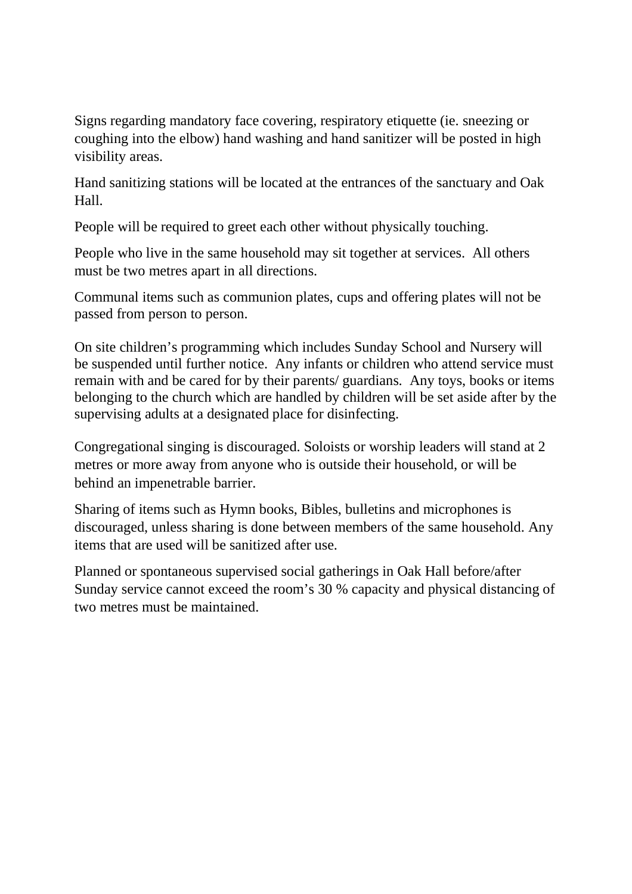Signs regarding mandatory face covering, respiratory etiquette (ie. sneezing or coughing into the elbow) hand washing and hand sanitizer will be posted in high visibility areas.

Hand sanitizing stations will be located at the entrances of the sanctuary and Oak Hall.

People will be required to greet each other without physically touching.

People who live in the same household may sit together at services. All others must be two metres apart in all directions.

Communal items such as communion plates, cups and offering plates will not be passed from person to person.

On site children's programming which includes Sunday School and Nursery will be suspended until further notice. Any infants or children who attend service must remain with and be cared for by their parents/ guardians. Any toys, books or items belonging to the church which are handled by children will be set aside after by the supervising adults at a designated place for disinfecting.

Congregational singing is discouraged. Soloists or worship leaders will stand at 2 metres or more away from anyone who is outside their household, or will be behind an impenetrable barrier.

Sharing of items such as Hymn books, Bibles, bulletins and microphones is discouraged, unless sharing is done between members of the same household. Any items that are used will be sanitized after use.

Planned or spontaneous supervised social gatherings in Oak Hall before/after Sunday service cannot exceed the room's 30 % capacity and physical distancing of two metres must be maintained.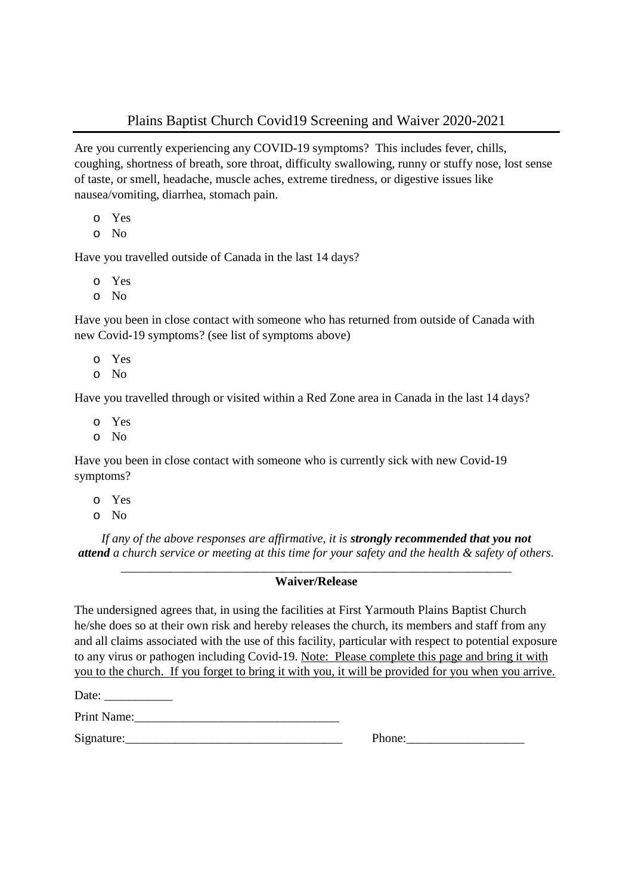# Plains Baptist Church Covid19 Screening and Waiver 2020-2021

Are you currently experiencing any COVID-19 symptoms? This includes fever, chills, coughing, shortness of breath, sore throat, difficulty swallowing, runny or stuffy nose, lost sense of taste, or smell, headache, muscle aches, extreme tiredness, or digestive issues like nausea/vomiting, diarrhea, stomach pain.

- o Yes
- o No

Have you travelled outside of Canada in the last 14 days?

- o Yes
- o No

Have you been in close contact with someone who has returned from outside of Canada with new Covid-19 symptoms? (see list of symptoms above)

- o Yes
- o No

Have you travelled through or visited within a Red Zone area in Canada in the last 14 days?

- o Yes
- o No

Have you been in close contact with someone who is currently sick with new Covid-19 symptoms?

- o Yes
- o No

*If any of the above responses are affirmative, it is strongly recommended that you not attend a church service or meeting at this time for your safety and the health & safety of others.*

### \_\_\_\_\_\_\_\_\_\_\_\_\_\_\_\_\_\_\_\_\_\_\_\_\_\_\_\_\_\_\_\_\_\_\_\_\_\_\_\_\_\_\_\_\_\_\_\_\_\_\_\_\_\_\_\_\_\_\_\_\_\_\_ **Waiver/Release**

The undersigned agrees that, in using the facilities at First Yarmouth Plains Baptist Church he/she does so at their own risk and hereby releases the church, its members and staff from any and all claims associated with the use of this facility, particular with respect to potential exposure to any virus or pathogen including Covid-19. Note: Please complete this page and bring it with you to the church. If you forget to bring it with you, it will be provided for you when you arrive.

Date: \_\_\_\_\_\_\_\_\_\_\_

Print Name:

Signature: The contract of the set of the set of the set of the set of the set of the set of the set of the set of the set of the set of the set of the set of the set of the set of the set of the set of the set of the set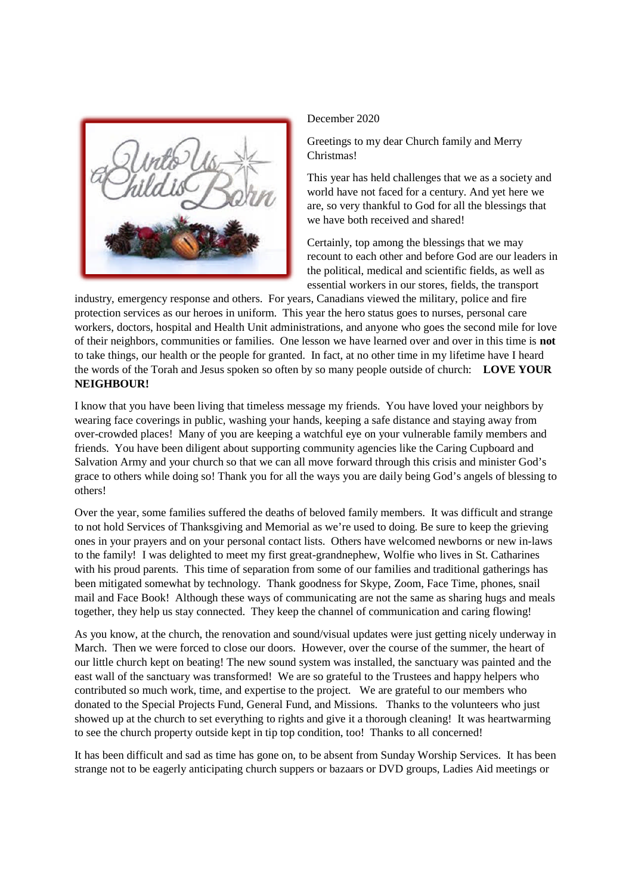

### December 2020

Greetings to my dear Church family and Merry Christmas!

This year has held challenges that we as a society and world have not faced for a century. And yet here we are, so very thankful to God for all the blessings that we have both received and shared!

Certainly, top among the blessings that we may recount to each other and before God are our leaders in the political, medical and scientific fields, as well as essential workers in our stores, fields, the transport

industry, emergency response and others. For years, Canadians viewed the military, police and fire protection services as our heroes in uniform. This year the hero status goes to nurses, personal care workers, doctors, hospital and Health Unit administrations, and anyone who goes the second mile for love of their neighbors, communities or families. One lesson we have learned over and over in this time is **not** to take things, our health or the people for granted. In fact, at no other time in my lifetime have I heard the words of the Torah and Jesus spoken so often by so many people outside of church: **LOVE YOUR NEIGHBOUR!**

I know that you have been living that timeless message my friends. You have loved your neighbors by wearing face coverings in public, washing your hands, keeping a safe distance and staying away from over-crowded places! Many of you are keeping a watchful eye on your vulnerable family members and friends. You have been diligent about supporting community agencies like the Caring Cupboard and Salvation Army and your church so that we can all move forward through this crisis and minister God's grace to others while doing so! Thank you for all the ways you are daily being God's angels of blessing to others!

Over the year, some families suffered the deaths of beloved family members. It was difficult and strange to not hold Services of Thanksgiving and Memorial as we're used to doing. Be sure to keep the grieving ones in your prayers and on your personal contact lists. Others have welcomed newborns or new in-laws to the family! I was delighted to meet my first great-grandnephew, Wolfie who lives in St. Catharines with his proud parents. This time of separation from some of our families and traditional gatherings has been mitigated somewhat by technology. Thank goodness for Skype, Zoom, Face Time, phones, snail mail and Face Book! Although these ways of communicating are not the same as sharing hugs and meals together, they help us stay connected. They keep the channel of communication and caring flowing!

As you know, at the church, the renovation and sound/visual updates were just getting nicely underway in March. Then we were forced to close our doors. However, over the course of the summer, the heart of our little church kept on beating! The new sound system was installed, the sanctuary was painted and the east wall of the sanctuary was transformed! We are so grateful to the Trustees and happy helpers who contributed so much work, time, and expertise to the project. We are grateful to our members who donated to the Special Projects Fund, General Fund, and Missions. Thanks to the volunteers who just showed up at the church to set everything to rights and give it a thorough cleaning! It was heartwarming to see the church property outside kept in tip top condition, too! Thanks to all concerned!

It has been difficult and sad as time has gone on, to be absent from Sunday Worship Services. It has been strange not to be eagerly anticipating church suppers or bazaars or DVD groups, Ladies Aid meetings or